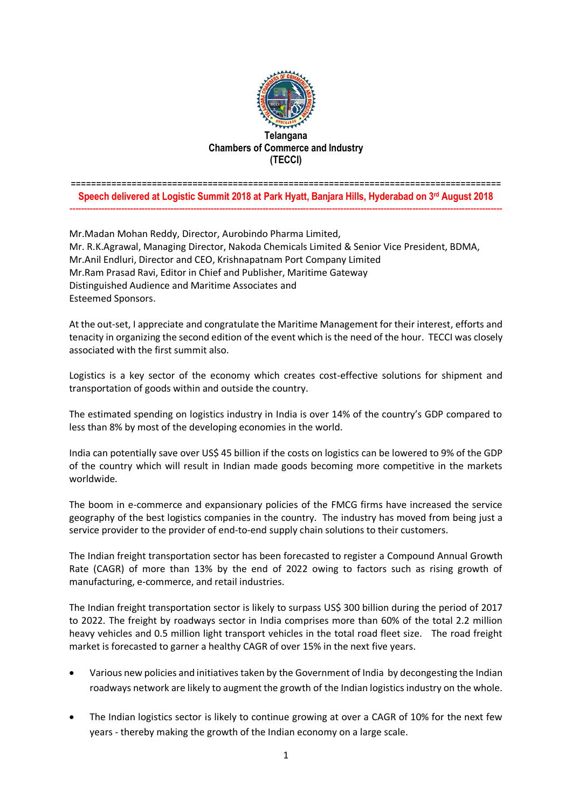

## ===================================================================================== **Speech delivered at Logistic Summit 2018 at Park Hyatt, Banjara Hills, Hyderabad on 3rd August 2018** ------------------------------------------------------------------------------------------------------------------------------------------------------

Mr.Madan Mohan Reddy, Director, Aurobindo Pharma Limited, Mr. R.K.Agrawal, Managing Director, Nakoda Chemicals Limited & Senior Vice President, BDMA, Mr.Anil Endluri, Director and CEO, Krishnapatnam Port Company Limited Mr.Ram Prasad Ravi, Editor in Chief and Publisher, Maritime Gateway Distinguished Audience and Maritime Associates and Esteemed Sponsors.

At the out-set, I appreciate and congratulate the Maritime Management for their interest, efforts and tenacity in organizing the second edition of the event which is the need of the hour. TECCI was closely associated with the first summit also.

Logistics is a key sector of the economy which creates cost-effective solutions for shipment and transportation of goods within and outside the country.

The estimated spending on logistics industry in India is over 14% of the country's GDP compared to less than 8% by most of the developing economies in the world.

India can potentially save over US\$ 45 billion if the costs on logistics can be lowered to 9% of the GDP of the country which will result in Indian made goods becoming more competitive in the markets worldwide.

The boom in e-commerce and expansionary policies of the FMCG firms have increased the service geography of the best logistics companies in the country. The industry has moved from being just a service provider to the provider of end-to-end supply chain solutions to their customers.

The Indian freight transportation sector has been forecasted to register a Compound Annual Growth Rate (CAGR) of more than 13% by the end of 2022 owing to factors such as rising growth of manufacturing, e-commerce, and retail industries.

The Indian freight transportation sector is likely to surpass US\$ 300 billion during the period of 2017 to 2022. The freight by roadways sector in India comprises more than 60% of the total 2.2 million heavy vehicles and 0.5 million light transport vehicles in the total road fleet size. The road freight market is forecasted to garner a healthy CAGR of over 15% in the next five years.

- Various new policies and initiatives taken by the Government of India by decongesting the Indian roadways network are likely to augment the growth of the Indian logistics industry on the whole.
- The Indian logistics sector is likely to continue growing at over a CAGR of 10% for the next few years - thereby making the growth of the Indian economy on a large scale.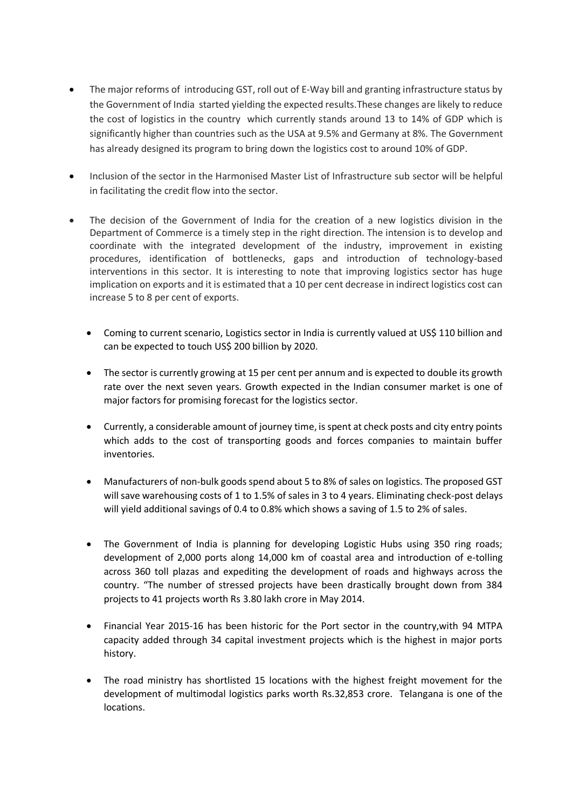- The major reforms of introducing GST, roll out of E-Way bill and granting infrastructure status by the Government of India started yielding the expected results.These changes are likely to reduce the cost of logistics in the country which currently stands around 13 to 14% of GDP which is significantly higher than countries such as the USA at 9.5% and Germany at 8%. The Government has already designed its program to bring down the logistics cost to around 10% of GDP.
- Inclusion of the sector in the Harmonised Master List of Infrastructure sub sector will be helpful in facilitating the credit flow into the sector.
- The decision of the Government of India for the creation of a new logistics division in the Department of Commerce is a timely step in the right direction. The intension is to develop and coordinate with the integrated development of the industry, improvement in existing procedures, identification of bottlenecks, gaps and introduction of technology-based interventions in this sector. It is interesting to note that improving logistics sector has huge implication on exports and it is estimated that a 10 per cent decrease in indirect logistics cost can increase 5 to 8 per cent of exports.
	- Coming to current scenario, Logistics sector in India is currently valued at US\$ 110 billion and can be expected to touch US\$ 200 billion by 2020.
	- The sector is currently growing at 15 per cent per annum and is expected to double its growth rate over the next seven years. Growth expected in the Indian consumer market is one of major factors for promising forecast for the logistics sector.
	- Currently, a considerable amount of journey time, is spent at check posts and city entry points which adds to the cost of transporting goods and forces companies to maintain buffer inventories.
	- Manufacturers of non-bulk goods spend about 5 to 8% of sales on logistics. The proposed GST will save warehousing costs of 1 to 1.5% of sales in 3 to 4 years. Eliminating check-post delays will yield additional savings of 0.4 to 0.8% which shows a saving of 1.5 to 2% of sales.
	- The Government of India is planning for developing Logistic Hubs using 350 ring roads; development of 2,000 ports along 14,000 km of coastal area and introduction of e-tolling across 360 toll plazas and expediting the development of roads and highways across the country. "The number of stressed projects have been drastically brought down from 384 projects to 41 projects worth Rs 3.80 lakh crore in May 2014.
	- Financial Year 2015-16 has been historic for the Port sector in the country,with 94 MTPA capacity added through 34 capital investment projects which is the highest in major ports history.
	- The road ministry has shortlisted 15 locations with the highest freight movement for the development of multimodal logistics parks worth Rs.32,853 crore. Telangana is one of the locations.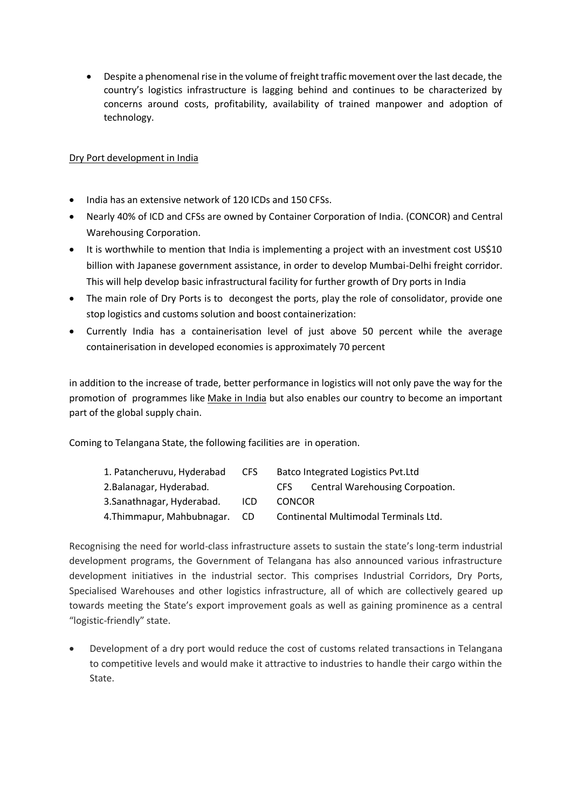Despite a phenomenal rise in the volume of freight traffic movement over the last decade, the country's logistics infrastructure is lagging behind and continues to be characterized by concerns around costs, profitability, availability of trained manpower and adoption of technology.

## Dry Port development in India

- India has an extensive network of 120 ICDs and 150 CFSs.
- Nearly 40% of ICD and CFSs are owned by Container Corporation of India. (CONCOR) and Central Warehousing Corporation.
- It is worthwhile to mention that India is implementing a project with an investment cost US\$10 billion with Japanese government assistance, in order to develop Mumbai-Delhi freight corridor. This will help develop basic infrastructural facility for further growth of Dry ports in India
- The main role of Dry Ports is to decongest the ports, play the role of consolidator, provide one stop logistics and customs solution and boost containerization:
- Currently India has a containerisation level of just above 50 percent while the average containerisation in developed economies is approximately 70 percent

in addition to the increase of trade, better performance in logistics will not only pave the way for the promotion of programmes like [Make in India](http://www.financialexpress.com/tag/make-in-india/) but also enables our country to become an important part of the global supply chain.

Coming to Telangana State, the following facilities are in operation.

| 1. Patancheruvu, Hyderabad | CFS. | <b>Batco Integrated Logistics Pvt.Ltd</b>      |
|----------------------------|------|------------------------------------------------|
| 2. Balanagar, Hyderabad.   |      | <b>Central Warehousing Corpoation.</b><br>CFS. |
| 3. Sanathnagar, Hyderabad. | ICD. | <b>CONCOR</b>                                  |
| 4. Thimmapur, Mahbubnagar. | CD.  | Continental Multimodal Terminals Ltd.          |

Recognising the need for world-class infrastructure assets to sustain the state's long-term industrial development programs, the Government of Telangana has also announced various infrastructure development initiatives in the industrial sector. This comprises Industrial Corridors, Dry Ports, Specialised Warehouses and other logistics infrastructure, all of which are collectively geared up towards meeting the State's export improvement goals as well as gaining prominence as a central "logistic-friendly" state.

 Development of a dry port would reduce the cost of customs related transactions in Telangana to competitive levels and would make it attractive to industries to handle their cargo within the State.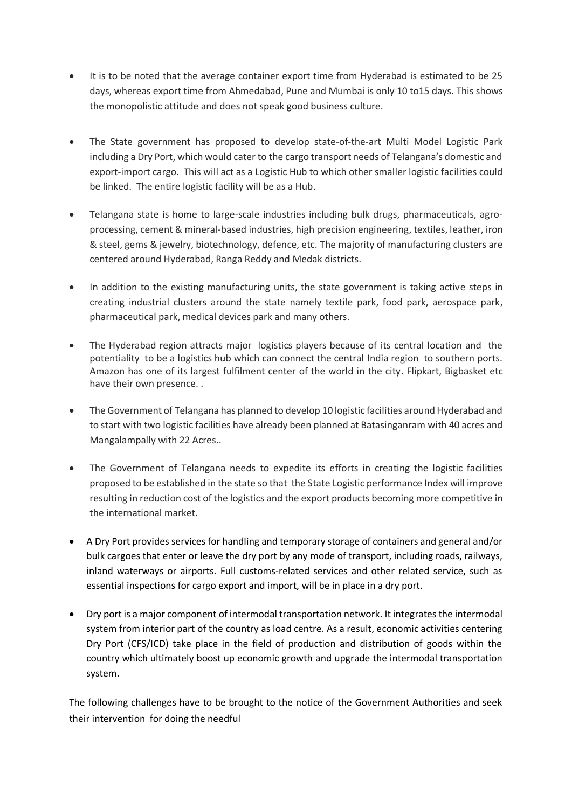- It is to be noted that the average container export time from Hyderabad is estimated to be 25 days, whereas export time from Ahmedabad, Pune and Mumbai is only 10 to15 days. This shows the monopolistic attitude and does not speak good business culture.
- The State government has proposed to develop state-of-the-art Multi Model Logistic Park including a Dry Port, which would cater to the cargo transport needs of Telangana's domestic and export-import cargo. This will act as a Logistic Hub to which other smaller logistic facilities could be linked. The entire logistic facility will be as a Hub.
- Telangana state is home to large-scale industries including bulk drugs, pharmaceuticals, agroprocessing, cement & mineral-based industries, high precision engineering, textiles, leather, iron & steel, gems & jewelry, biotechnology, defence, etc. The majority of manufacturing clusters are centered around Hyderabad, Ranga Reddy and Medak districts.
- In addition to the existing manufacturing units, the state government is taking active steps in creating industrial clusters around the state namely textile park, food park, aerospace park, pharmaceutical park, medical devices park and many others.
- The Hyderabad region attracts major logistics players because of its central location and the potentiality to be a logistics hub which can connect the central India region to southern ports. Amazon has one of its largest fulfilment center of the world in the city. Flipkart, Bigbasket etc have their own presence. .
- The Government of Telangana has planned to develop 10 logistic facilities around Hyderabad and to start with two logistic facilities have already been planned at Batasinganram with 40 acres and Mangalampally with 22 Acres..
- The Government of Telangana needs to expedite its efforts in creating the logistic facilities proposed to be established in the state so that the State Logistic performance Index will improve resulting in reduction cost of the logistics and the export products becoming more competitive in the international market.
- A Dry Port provides services for handling and temporary storage of containers and general and/or bulk cargoes that enter or leave the dry port by any mode of transport, including roads, railways, inland waterways or airports. Full customs-related services and other related service, such as essential inspections for cargo export and import, will be in place in a dry port.
- Dry port is a major component of intermodal transportation network. It integrates the intermodal system from interior part of the country as load centre. As a result, economic activities centering Dry Port (CFS/ICD) take place in the field of production and distribution of goods within the country which ultimately boost up economic growth and upgrade the intermodal transportation system.

The following challenges have to be brought to the notice of the Government Authorities and seek their intervention for doing the needful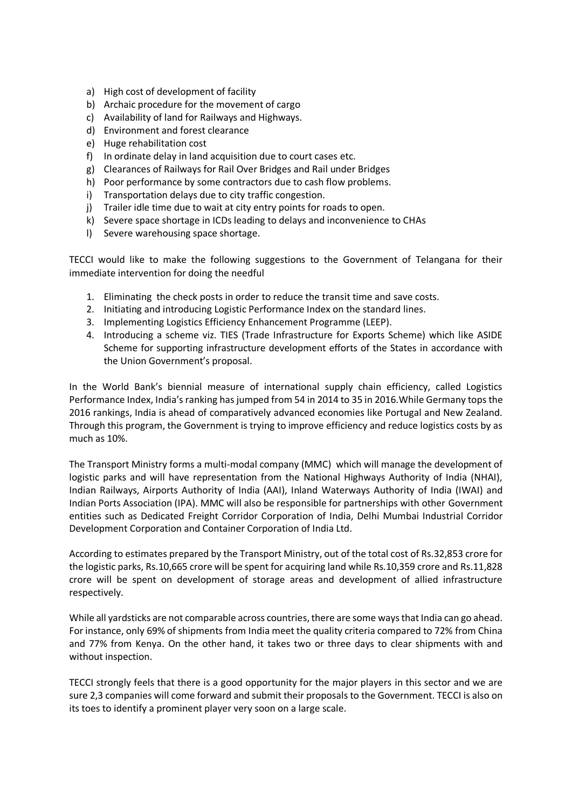- a) High cost of development of facility
- b) Archaic procedure for the movement of cargo
- c) Availability of land for Railways and Highways.
- d) Environment and forest clearance
- e) Huge rehabilitation cost
- f) In ordinate delay in land acquisition due to court cases etc.
- g) Clearances of Railways for Rail Over Bridges and Rail under Bridges
- h) Poor performance by some contractors due to cash flow problems.
- i) Transportation delays due to city traffic congestion.
- j) Trailer idle time due to wait at city entry points for roads to open.
- k) Severe space shortage in ICDs leading to delays and inconvenience to CHAs
- l) Severe warehousing space shortage.

TECCI would like to make the following suggestions to the Government of Telangana for their immediate intervention for doing the needful

- 1. Eliminating the check posts in order to reduce the transit time and save costs.
- 2. Initiating and introducing Logistic Performance Index on the standard lines.
- 3. Implementing Logistics Efficiency Enhancement Programme (LEEP).
- 4. Introducing a scheme viz. TIES (Trade Infrastructure for Exports Scheme) which like ASIDE Scheme for supporting infrastructure development efforts of the States in accordance with the Union Government's proposal.

In the World Bank's biennial measure of international supply chain efficiency, called Logistics Performance Index, India's ranking has jumped from 54 in 2014 to 35 in 2016.While Germany tops the 2016 rankings, India is ahead of comparatively advanced economies like Portugal and New Zealand. Through this program, the Government is trying to improve efficiency and reduce logistics costs by as much as 10%.

The Transport Ministry forms a multi-modal company (MMC) which will manage the development of logistic parks and will have representation from the National Highways Authority of India (NHAI), Indian Railways, Airports Authority of India (AAI), Inland Waterways Authority of India (IWAI) and Indian Ports Association (IPA). MMC will also be responsible for partnerships with other Government entities such as Dedicated Freight Corridor Corporation of India, Delhi Mumbai Industrial Corridor Development Corporation and Container Corporation of India Ltd.

According to estimates prepared by the Transport Ministry, out of the total cost of Rs.32,853 crore for the logistic parks, Rs.10,665 crore will be spent for acquiring land while Rs.10,359 crore and Rs.11,828 crore will be spent on development of storage areas and development of allied infrastructure respectively.

While all yardsticks are not comparable across countries, there are some ways that India can go ahead. For instance, only 69% of shipments from India meet the quality criteria compared to 72% from China and 77% from Kenya. On the other hand, it takes two or three days to clear shipments with and without inspection.

TECCI strongly feels that there is a good opportunity for the major players in this sector and we are sure 2,3 companies will come forward and submit their proposals to the Government. TECCI is also on its toes to identify a prominent player very soon on a large scale.